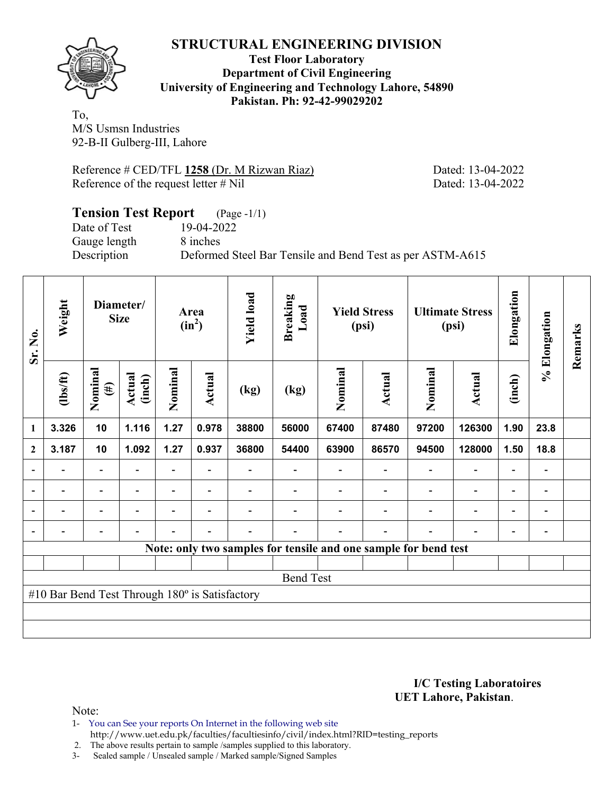

#### **Test Floor Laboratory Department of Civil Engineering University of Engineering and Technology Lahore, 54890 Pakistan. Ph: 92-42-99029202**

To, M/S Usmsn Industries 92-B-II Gulberg-III, Lahore

Reference # CED/TFL 1258 (Dr. M Rizwan Riaz) Dated: 13-04-2022 Reference of the request letter # Nil Dated: 13-04-2022

### **Tension Test Report** (Page -1/1) Date of Test 19-04-2022 Gauge length 8 inches Description Deformed Steel Bar Tensile and Bend Test as per ASTM-A615

| Sr. No.                  | Weight                                         |                          | Diameter/<br><b>Size</b> |         | Area<br>$(in^2)$ | <b>Yield load</b> | <b>Breaking</b><br>Load                                         |         | <b>Yield Stress</b><br>(psi) |                          | <b>Ultimate Stress</b><br>(psi) | Elongation               | % Elongation                 | Remarks |
|--------------------------|------------------------------------------------|--------------------------|--------------------------|---------|------------------|-------------------|-----------------------------------------------------------------|---------|------------------------------|--------------------------|---------------------------------|--------------------------|------------------------------|---------|
|                          | $\frac{2}{10}$                                 | Nominal<br>$(\#)$        | <b>Actual</b><br>(inch)  | Nominal | <b>Actual</b>    | (kg)              | (kg)                                                            | Nominal | <b>Actual</b>                | Nominal                  | Actual                          | (inch)                   |                              |         |
| 1                        | 3.326                                          | 10                       | 1.116                    | 1.27    | 0.978            | 38800             | 56000                                                           | 67400   | 87480                        | 97200                    | 126300                          | 1.90                     | 23.8                         |         |
| $\overline{2}$           | 3.187                                          | 10                       | 1.092                    | 1.27    | 0.937            | 36800             | 54400                                                           | 63900   | 86570                        | 94500                    | 128000                          | 1.50                     | 18.8                         |         |
|                          |                                                | $\blacksquare$           |                          | ٠       |                  |                   |                                                                 |         |                              |                          |                                 |                          | $\qquad \qquad \blacksquare$ |         |
| $\overline{a}$           |                                                | $\overline{\phantom{0}}$ |                          |         | $\blacksquare$   |                   |                                                                 |         |                              |                          |                                 | $\blacksquare$           | $\overline{\phantom{a}}$     |         |
| $\overline{\phantom{a}}$ |                                                | $\overline{\phantom{0}}$ |                          |         | $\blacksquare$   |                   |                                                                 |         |                              | $\overline{\phantom{0}}$ | $\blacksquare$                  | $\overline{\phantom{0}}$ | $\blacksquare$               |         |
| $\overline{a}$           | -                                              | -                        |                          |         | ٠                |                   |                                                                 |         |                              |                          | $\overline{\phantom{0}}$        | $\overline{\phantom{0}}$ | $\overline{\phantom{0}}$     |         |
|                          |                                                |                          |                          |         |                  |                   | Note: only two samples for tensile and one sample for bend test |         |                              |                          |                                 |                          |                              |         |
|                          |                                                |                          |                          |         |                  |                   |                                                                 |         |                              |                          |                                 |                          |                              |         |
|                          |                                                |                          |                          |         |                  |                   | <b>Bend Test</b>                                                |         |                              |                          |                                 |                          |                              |         |
|                          | #10 Bar Bend Test Through 180° is Satisfactory |                          |                          |         |                  |                   |                                                                 |         |                              |                          |                                 |                          |                              |         |
|                          |                                                |                          |                          |         |                  |                   |                                                                 |         |                              |                          |                                 |                          |                              |         |
|                          |                                                |                          |                          |         |                  |                   |                                                                 |         |                              |                          |                                 |                          |                              |         |

#### **I/C Testing Laboratoires UET Lahore, Pakistan**.

Note:

1- You can See your reports On Internet in the following web site http://www.uet.edu.pk/faculties/facultiesinfo/civil/index.html?RID=testing\_reports

2. The above results pertain to sample /samples supplied to this laboratory.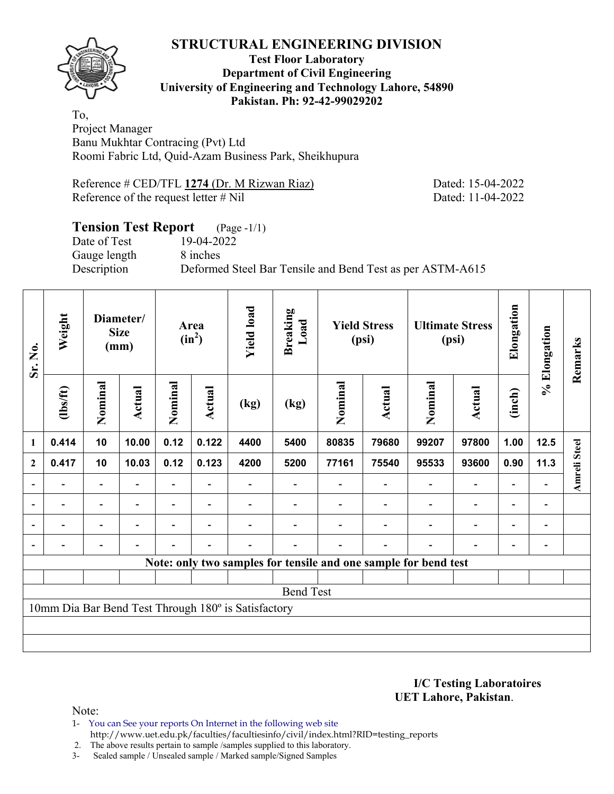

#### **Test Floor Laboratory Department of Civil Engineering University of Engineering and Technology Lahore, 54890 Pakistan. Ph: 92-42-99029202**

To, Project Manager Banu Mukhtar Contracing (Pvt) Ltd Roomi Fabric Ltd, Quid-Azam Business Park, Sheikhupura

Reference # CED/TFL 1274 (Dr. M Rizwan Riaz) Dated: 15-04-2022 Reference of the request letter # Nil Dated: 11-04-2022

# **Tension Test Report** (Page -1/1) Date of Test 19-04-2022 Gauge length 8 inches Description Deformed Steel Bar Tensile and Bend Test as per ASTM-A615

| Sr. No.        | Weight                   |                          | Diameter/<br><b>Size</b><br>(mm) |         | Area<br>$(in^2)$         | <b>Yield load</b>                                   | <b>Breaking</b><br>Load |         | <b>Yield Stress</b><br>(psi)                                    |                          | <b>Ultimate Stress</b><br>(psi) | Elongation               | % Elongation             | Remarks             |
|----------------|--------------------------|--------------------------|----------------------------------|---------|--------------------------|-----------------------------------------------------|-------------------------|---------|-----------------------------------------------------------------|--------------------------|---------------------------------|--------------------------|--------------------------|---------------------|
|                | (1bs/ft)                 | Nominal                  | Actual                           | Nominal | Actual                   | (kg)                                                | (kg)                    | Nominal | Actual                                                          | Nominal                  | Actual                          | (inch)                   |                          |                     |
| 1              | 0.414                    | 10                       | 10.00                            | 0.12    | 0.122                    | 4400                                                | 5400                    | 80835   | 79680                                                           | 99207                    | 97800                           | 1.00                     | 12.5                     |                     |
| $\mathbf{2}$   | 0.417                    | 10                       | 10.03                            | 0.12    | 0.123                    | 4200                                                | 5200                    | 77161   | 75540                                                           | 95533                    | 93600                           | 0.90                     | 11.3                     | <b>Amreli Steel</b> |
|                |                          |                          |                                  |         |                          |                                                     |                         |         |                                                                 |                          | $\overline{\phantom{0}}$        | $\overline{\phantom{0}}$ |                          |                     |
| $\blacksquare$ | $\overline{\phantom{0}}$ | $\overline{\phantom{a}}$ | $\overline{\phantom{0}}$         |         | $\overline{\phantom{0}}$ |                                                     |                         |         | $\overline{\phantom{a}}$                                        | $\overline{\phantom{0}}$ | -                               | $\overline{\phantom{a}}$ | $\blacksquare$           |                     |
|                | -                        | $\overline{\phantom{0}}$ |                                  |         | $\overline{\phantom{0}}$ |                                                     |                         |         |                                                                 | $\overline{\phantom{0}}$ | $\overline{a}$                  | $\overline{\phantom{a}}$ | $\overline{\phantom{a}}$ |                     |
|                |                          | $\blacksquare$           | $\blacksquare$                   |         | $\blacksquare$           |                                                     |                         |         | $\blacksquare$                                                  | $\blacksquare$           | $\blacksquare$                  | $\overline{\phantom{a}}$ | $\overline{\phantom{a}}$ |                     |
|                |                          |                          |                                  |         |                          |                                                     |                         |         | Note: only two samples for tensile and one sample for bend test |                          |                                 |                          |                          |                     |
|                |                          |                          |                                  |         |                          |                                                     |                         |         |                                                                 |                          |                                 |                          |                          |                     |
|                | <b>Bend Test</b>         |                          |                                  |         |                          |                                                     |                         |         |                                                                 |                          |                                 |                          |                          |                     |
|                |                          |                          |                                  |         |                          | 10mm Dia Bar Bend Test Through 180° is Satisfactory |                         |         |                                                                 |                          |                                 |                          |                          |                     |
|                |                          |                          |                                  |         |                          |                                                     |                         |         |                                                                 |                          |                                 |                          |                          |                     |
|                |                          |                          |                                  |         |                          |                                                     |                         |         |                                                                 |                          |                                 |                          |                          |                     |

**I/C Testing Laboratoires UET Lahore, Pakistan**.

Note:

1- You can See your reports On Internet in the following web site http://www.uet.edu.pk/faculties/facultiesinfo/civil/index.html?RID=testing\_reports

2. The above results pertain to sample /samples supplied to this laboratory.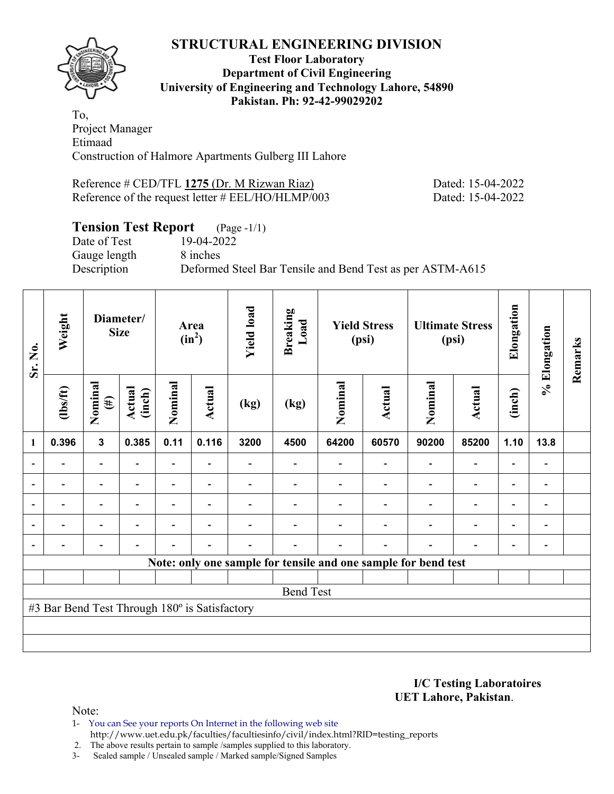

**Test Floor Laboratory Department of Civil Engineering University of Engineering and Technology Lahore, 54890 Pakistan. Ph: 92-42-99029202** 

To, Project Manager Etimaad Construction of Halmore Apartments Gulberg III Lahore

Reference # CED/TFL 1275 (Dr. M Rizwan Riaz) Dated: 15-04-2022 Reference of the request letter # EEL/HO/HLMP/003 Dated: 15-04-2022

## **Tension Test Report** (Page -1/1)

Date of Test 19-04-2022 Gauge length 8 inches

Description Deformed Steel Bar Tensile and Bend Test as per ASTM-A615

| Sr. No.                  | Weight                                        |                          | Diameter/<br><b>Size</b> |                          | Area<br>$(in^2)$         | <b>Yield load</b> | <b>Breaking</b><br>Load |         | <b>Yield Stress</b><br>(psi)                                   |                          | <b>Ultimate Stress</b><br>(psi) | Elongation               | % Elongation                 | Remarks |
|--------------------------|-----------------------------------------------|--------------------------|--------------------------|--------------------------|--------------------------|-------------------|-------------------------|---------|----------------------------------------------------------------|--------------------------|---------------------------------|--------------------------|------------------------------|---------|
|                          | (1bs/ft)                                      | Nominal<br>$(\#)$        | Actual<br>(inch)         | Nominal                  | Actual                   | (kg)              | (kg)                    | Nominal | <b>Actual</b>                                                  | Nominal                  | <b>Actual</b>                   | (inch)                   |                              |         |
| 1                        | 0.396                                         | $\mathbf{3}$             | 0.385                    | 0.11                     | 0.116                    | 3200              | 4500                    | 64200   | 60570                                                          | 90200                    | 85200                           | 1.10                     | 13.8                         |         |
|                          |                                               |                          |                          | $\overline{\phantom{a}}$ | $\overline{\phantom{a}}$ |                   |                         |         |                                                                | $\blacksquare$           | $\overline{\phantom{0}}$        | $\blacksquare$           |                              |         |
|                          |                                               | $\overline{\phantom{0}}$ |                          | -                        |                          |                   |                         |         |                                                                |                          | $\overline{\phantom{0}}$        | $\overline{\phantom{0}}$ | $\qquad \qquad \blacksquare$ |         |
| $\overline{\phantom{0}}$ |                                               | $\overline{\phantom{0}}$ |                          |                          | $\blacksquare$           |                   |                         |         |                                                                |                          | $\overline{\phantom{0}}$        | $\overline{\phantom{0}}$ | $\qquad \qquad \blacksquare$ |         |
| $\blacksquare$           |                                               | $\blacksquare$           | $\overline{\phantom{0}}$ | $\blacksquare$           | $\overline{\phantom{a}}$ |                   |                         |         |                                                                | $\blacksquare$           | $\overline{\phantom{0}}$        | $\blacksquare$           | $\overline{\phantom{0}}$     |         |
| $\overline{\phantom{0}}$ |                                               |                          |                          |                          | $\blacksquare$           |                   |                         |         | $\overline{\phantom{0}}$                                       | $\overline{\phantom{0}}$ | $\overline{\phantom{0}}$        | $\overline{\phantom{a}}$ | $\blacksquare$               |         |
|                          |                                               |                          |                          |                          |                          |                   |                         |         | Note: only one sample for tensile and one sample for bend test |                          |                                 |                          |                              |         |
|                          |                                               |                          |                          |                          |                          |                   |                         |         |                                                                |                          |                                 |                          |                              |         |
|                          |                                               |                          |                          |                          |                          |                   | <b>Bend Test</b>        |         |                                                                |                          |                                 |                          |                              |         |
|                          | #3 Bar Bend Test Through 180° is Satisfactory |                          |                          |                          |                          |                   |                         |         |                                                                |                          |                                 |                          |                              |         |
|                          |                                               |                          |                          |                          |                          |                   |                         |         |                                                                |                          |                                 |                          |                              |         |
|                          |                                               |                          |                          |                          |                          |                   |                         |         |                                                                |                          |                                 |                          |                              |         |

**I/C Testing Laboratoires UET Lahore, Pakistan**.

Note:

1- You can See your reports On Internet in the following web site http://www.uet.edu.pk/faculties/facultiesinfo/civil/index.html?RID=testing\_reports

2. The above results pertain to sample /samples supplied to this laboratory.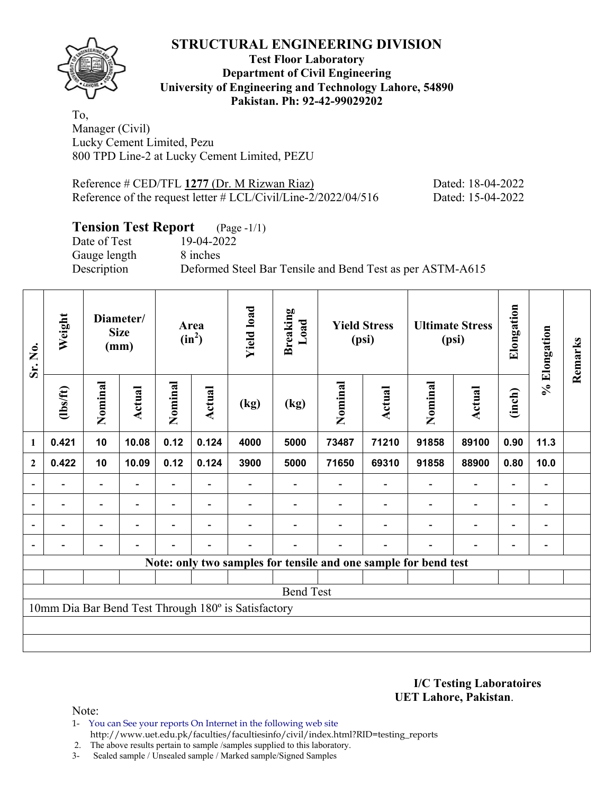

#### **Test Floor Laboratory Department of Civil Engineering University of Engineering and Technology Lahore, 54890 Pakistan. Ph: 92-42-99029202**

To, Manager (Civil) Lucky Cement Limited, Pezu 800 TPD Line-2 at Lucky Cement Limited, PEZU

Reference # CED/TFL 1277 (Dr. M Rizwan Riaz) Dated: 18-04-2022 Reference of the request letter # LCL/Civil/Line-2/2022/04/516 Dated: 15-04-2022

# **Tension Test Report** (Page -1/1)

Date of Test 19-04-2022 Gauge length 8 inches

Description Deformed Steel Bar Tensile and Bend Test as per ASTM-A615

| Sr. No.                  | Weight                   |                          | Diameter/<br><b>Size</b><br>(mm) |                | Area<br>$(in^2)$         | <b>Yield load</b>                                   | <b>Breaking</b><br>Load                                         |         | <b>Yield Stress</b><br>(psi) |                          | <b>Ultimate Stress</b><br>(psi) | Elongation               | % Elongation                 | Remarks |
|--------------------------|--------------------------|--------------------------|----------------------------------|----------------|--------------------------|-----------------------------------------------------|-----------------------------------------------------------------|---------|------------------------------|--------------------------|---------------------------------|--------------------------|------------------------------|---------|
|                          | $\frac{2}{10}$           | Nominal                  | <b>Actual</b>                    | Nominal        | Actual                   | (kg)                                                | (kg)                                                            | Nominal | <b>Actual</b>                | Nominal                  | <b>Actual</b>                   | (inch)                   |                              |         |
| $\mathbf{1}$             | 0.421                    | 10                       | 10.08                            | 0.12           | 0.124                    | 4000                                                | 5000                                                            | 73487   | 71210                        | 91858                    | 89100                           | 0.90                     | 11.3                         |         |
| $\boldsymbol{2}$         | 0.422                    | 10                       | 10.09                            | 0.12           | 0.124                    | 3900                                                | 5000                                                            | 71650   | 69310                        | 91858                    | 88900                           | 0.80                     | 10.0                         |         |
| $\overline{\phantom{a}}$ |                          | $\overline{\phantom{a}}$ |                                  |                |                          |                                                     |                                                                 |         |                              |                          | $\overline{a}$                  | $\overline{\phantom{0}}$ |                              |         |
| $\overline{\phantom{a}}$ | $\overline{\phantom{a}}$ | $\blacksquare$           | $\overline{\phantom{a}}$         |                | $\overline{\phantom{a}}$ |                                                     |                                                                 |         | $\overline{\phantom{a}}$     | $\overline{\phantom{a}}$ | $\overline{\phantom{a}}$        | $\overline{\phantom{a}}$ | $\overline{\phantom{a}}$     |         |
| $\blacksquare$           | $\overline{a}$           | $\blacksquare$           | $\blacksquare$                   | $\blacksquare$ | $\overline{\phantom{0}}$ |                                                     |                                                                 |         |                              | $\overline{\phantom{0}}$ | $\overline{\phantom{a}}$        | $\overline{\phantom{a}}$ | $\blacksquare$               |         |
| $\overline{\phantom{0}}$ | -                        | $\overline{\phantom{0}}$ | $\overline{\phantom{0}}$         |                | $\overline{\phantom{0}}$ | $\overline{\phantom{0}}$                            |                                                                 |         | $\overline{\phantom{0}}$     | $\overline{\phantom{0}}$ | $\overline{\phantom{0}}$        | $\overline{\phantom{a}}$ | $\qquad \qquad \blacksquare$ |         |
|                          |                          |                          |                                  |                |                          |                                                     | Note: only two samples for tensile and one sample for bend test |         |                              |                          |                                 |                          |                              |         |
|                          |                          |                          |                                  |                |                          |                                                     |                                                                 |         |                              |                          |                                 |                          |                              |         |
|                          |                          |                          |                                  |                |                          |                                                     | <b>Bend Test</b>                                                |         |                              |                          |                                 |                          |                              |         |
|                          |                          |                          |                                  |                |                          | 10mm Dia Bar Bend Test Through 180° is Satisfactory |                                                                 |         |                              |                          |                                 |                          |                              |         |
|                          |                          |                          |                                  |                |                          |                                                     |                                                                 |         |                              |                          |                                 |                          |                              |         |
|                          |                          |                          |                                  |                |                          |                                                     |                                                                 |         |                              |                          |                                 |                          |                              |         |

**I/C Testing Laboratoires UET Lahore, Pakistan**.

Note:

1- You can See your reports On Internet in the following web site http://www.uet.edu.pk/faculties/facultiesinfo/civil/index.html?RID=testing\_reports

2. The above results pertain to sample /samples supplied to this laboratory.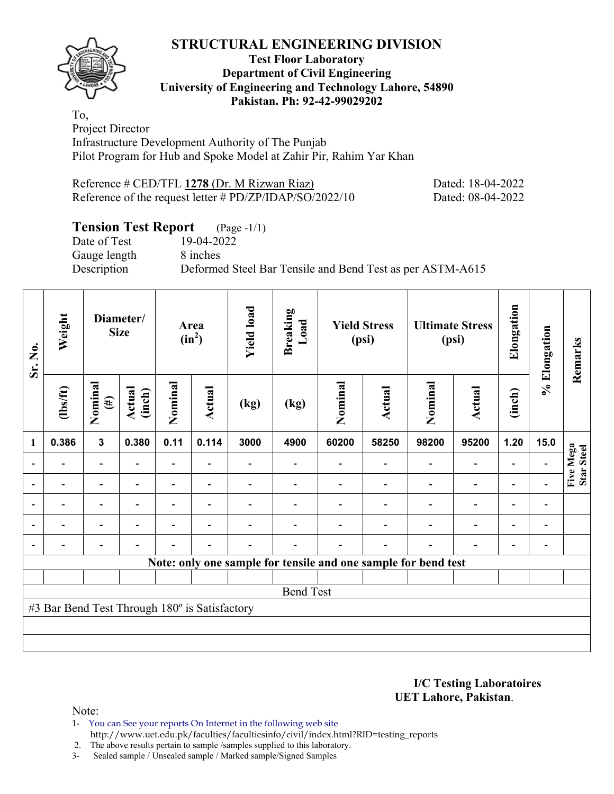#### **Test Floor Laboratory Department of Civil Engineering University of Engineering and Technology Lahore, 54890 Pakistan. Ph: 92-42-99029202**

To, Project Director Infrastructure Development Authority of The Punjab Pilot Program for Hub and Spoke Model at Zahir Pir, Rahim Yar Khan

Reference # CED/TFL 1278 (Dr. M Rizwan Riaz) Dated: 18-04-2022 Reference of the request letter # PD/ZP/IDAP/SO/2022/10 Dated: 08-04-2022

# **Tension Test Report** (Page -1/1)

Date of Test 19-04-2022 Gauge length 8 inches

Description Deformed Steel Bar Tensile and Bend Test as per ASTM-A615

| Sr. No.                  | Weight                                        |                          | Diameter/<br><b>Size</b> |                          | Area<br>$(in^2)$         | <b>Yield load</b> | <b>Breaking</b><br>Load                                        |         | <b>Yield Stress</b><br>(psi) |                          | <b>Ultimate Stress</b><br>(psi) | Elongation               | % Elongation                 | Remarks                 |
|--------------------------|-----------------------------------------------|--------------------------|--------------------------|--------------------------|--------------------------|-------------------|----------------------------------------------------------------|---------|------------------------------|--------------------------|---------------------------------|--------------------------|------------------------------|-------------------------|
|                          | (1bs/ft)                                      | Nominal<br>$(\#)$        | Actual<br>(inch)         | Nominal                  | Actual                   | (kg)              | (kg)                                                           | Nominal | Actual                       | Nominal                  | <b>Actual</b>                   | (inch)                   |                              |                         |
| $\mathbf{1}$             | 0.386                                         | $\mathbf{3}$             | 0.380                    | 0.11                     | 0.114                    | 3000              | 4900                                                           | 60200   | 58250                        | 98200                    | 95200                           | 1.20                     | 15.0                         |                         |
|                          |                                               | $\overline{\phantom{0}}$ |                          | $\overline{\phantom{0}}$ |                          |                   |                                                                |         |                              | $\blacksquare$           | $\qquad \qquad \blacksquare$    | $\overline{\phantom{a}}$ |                              | Five Mega<br>Star Steel |
|                          |                                               |                          |                          |                          |                          |                   |                                                                |         |                              |                          | $\qquad \qquad \blacksquare$    | $\overline{\phantom{a}}$ |                              |                         |
| $\overline{\phantom{a}}$ |                                               | $\overline{a}$           | ۰                        | -                        | $\overline{\phantom{0}}$ |                   |                                                                |         |                              | $\overline{\phantom{0}}$ | $\overline{\phantom{a}}$        | $\overline{\phantom{a}}$ | $\qquad \qquad \blacksquare$ |                         |
| $\blacksquare$           |                                               | $\blacksquare$           |                          | $\blacksquare$           | $\blacksquare$           |                   |                                                                |         |                              | $\blacksquare$           | $\overline{\phantom{0}}$        | $\overline{\phantom{a}}$ | $\qquad \qquad \blacksquare$ |                         |
|                          |                                               | $\overline{\phantom{0}}$ |                          | $\overline{a}$           | $\blacksquare$           |                   |                                                                |         |                              | $\blacksquare$           | $\qquad \qquad -$               | $\overline{\phantom{a}}$ | $\blacksquare$               |                         |
|                          |                                               |                          |                          |                          |                          |                   | Note: only one sample for tensile and one sample for bend test |         |                              |                          |                                 |                          |                              |                         |
|                          |                                               |                          |                          |                          |                          |                   |                                                                |         |                              |                          |                                 |                          |                              |                         |
|                          |                                               |                          |                          |                          |                          |                   | <b>Bend Test</b>                                               |         |                              |                          |                                 |                          |                              |                         |
|                          | #3 Bar Bend Test Through 180° is Satisfactory |                          |                          |                          |                          |                   |                                                                |         |                              |                          |                                 |                          |                              |                         |
|                          |                                               |                          |                          |                          |                          |                   |                                                                |         |                              |                          |                                 |                          |                              |                         |
|                          |                                               |                          |                          |                          |                          |                   |                                                                |         |                              |                          |                                 |                          |                              |                         |

**I/C Testing Laboratoires UET Lahore, Pakistan**.

Note:

1- You can See your reports On Internet in the following web site http://www.uet.edu.pk/faculties/facultiesinfo/civil/index.html?RID=testing\_reports

2. The above results pertain to sample /samples supplied to this laboratory.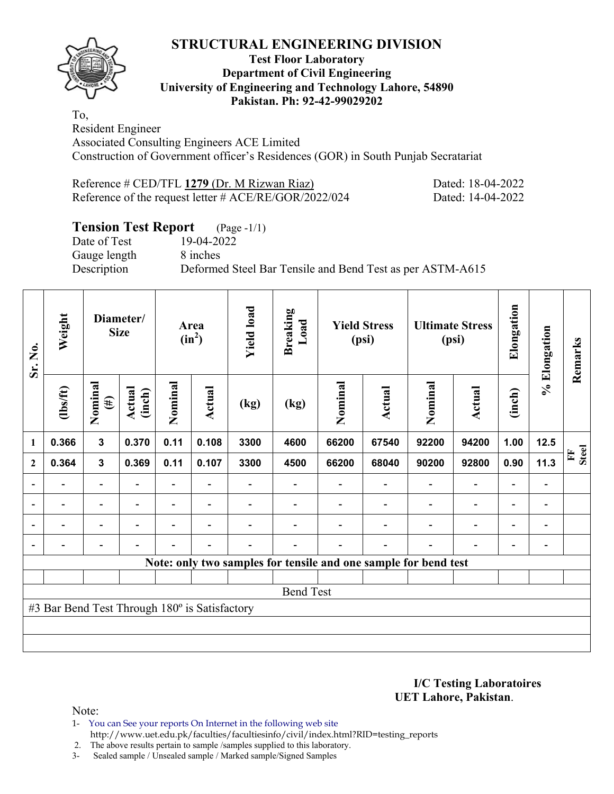

#### **Test Floor Laboratory Department of Civil Engineering University of Engineering and Technology Lahore, 54890 Pakistan. Ph: 92-42-99029202**

To, Resident Engineer Associated Consulting Engineers ACE Limited Construction of Government officer's Residences (GOR) in South Punjab Secratariat

Reference # CED/TFL 1279 (Dr. M Rizwan Riaz) Dated: 18-04-2022 Reference of the request letter # ACE/RE/GOR/2022/024 Dated: 14-04-2022

# **Tension Test Report** (Page -1/1)

Date of Test 19-04-2022 Gauge length 8 inches

Description Deformed Steel Bar Tensile and Bend Test as per ASTM-A615

| Sr. No.        | Weight                                        |                          | Diameter/<br><b>Size</b> |                | Area<br>$(in^2)$         | <b>Yield load</b>        | <b>Breaking</b><br>Load |         | <b>Yield Stress</b><br>(psi)                                    |                          | <b>Ultimate Stress</b><br>(psi) | Elongation               | % Elongation             | Remarks                      |
|----------------|-----------------------------------------------|--------------------------|--------------------------|----------------|--------------------------|--------------------------|-------------------------|---------|-----------------------------------------------------------------|--------------------------|---------------------------------|--------------------------|--------------------------|------------------------------|
|                | $\frac{2}{10}$                                | Nominal<br>$(\#)$        | Actual<br>(inch)         | Nominal        | Actual                   | (kg)                     | (kg)                    | Nominal | Actual                                                          | Nominal                  | Actual                          | (inch)                   |                          |                              |
| $\mathbf{1}$   | 0.366                                         | $\mathbf{3}$             | 0.370                    | 0.11           | 0.108                    | 3300                     | 4600                    | 66200   | 67540                                                           | 92200                    | 94200                           | 1.00                     | 12.5                     |                              |
| $\overline{2}$ | 0.364                                         | $\mathbf{3}$             | 0.369                    | 0.11           | 0.107                    | 3300                     | 4500                    | 66200   | 68040                                                           | 90200                    | 92800                           | 0.90                     | 11.3                     | <b>Steel</b><br>$\mathbf{F}$ |
|                |                                               | $\overline{\phantom{0}}$ |                          |                |                          |                          |                         |         |                                                                 |                          | $\qquad \qquad \blacksquare$    | $\overline{\phantom{0}}$ |                          |                              |
| $\blacksquare$ | $\overline{\phantom{0}}$                      | $\overline{\phantom{a}}$ | $\blacksquare$           | $\blacksquare$ | $\overline{\phantom{a}}$ |                          |                         |         | $\blacksquare$                                                  | $\overline{\phantom{a}}$ | $\overline{\phantom{a}}$        | $\overline{\phantom{a}}$ | $\blacksquare$           |                              |
|                | $\overline{\phantom{0}}$                      | $\overline{\phantom{a}}$ |                          | $\blacksquare$ | ۰                        |                          |                         |         |                                                                 | $\blacksquare$           | $\qquad \qquad \blacksquare$    | $\overline{\phantom{0}}$ | $\overline{\phantom{0}}$ |                              |
|                | $\overline{\phantom{0}}$                      | $\overline{\phantom{a}}$ |                          | $\blacksquare$ | $\overline{\phantom{a}}$ | $\overline{\phantom{0}}$ |                         |         | $\blacksquare$                                                  | $\blacksquare$           | $\overline{\phantom{0}}$        | $\overline{\phantom{a}}$ | $\blacksquare$           |                              |
|                |                                               |                          |                          |                |                          |                          |                         |         | Note: only two samples for tensile and one sample for bend test |                          |                                 |                          |                          |                              |
|                |                                               |                          |                          |                |                          |                          |                         |         |                                                                 |                          |                                 |                          |                          |                              |
|                |                                               |                          |                          |                |                          |                          | <b>Bend Test</b>        |         |                                                                 |                          |                                 |                          |                          |                              |
|                | #3 Bar Bend Test Through 180° is Satisfactory |                          |                          |                |                          |                          |                         |         |                                                                 |                          |                                 |                          |                          |                              |
|                |                                               |                          |                          |                |                          |                          |                         |         |                                                                 |                          |                                 |                          |                          |                              |
|                |                                               |                          |                          |                |                          |                          |                         |         |                                                                 |                          |                                 |                          |                          |                              |

**I/C Testing Laboratoires UET Lahore, Pakistan**.

Note:

- 1- You can See your reports On Internet in the following web site http://www.uet.edu.pk/faculties/facultiesinfo/civil/index.html?RID=testing\_reports
- 2. The above results pertain to sample /samples supplied to this laboratory.
- 3- Sealed sample / Unsealed sample / Marked sample/Signed Samples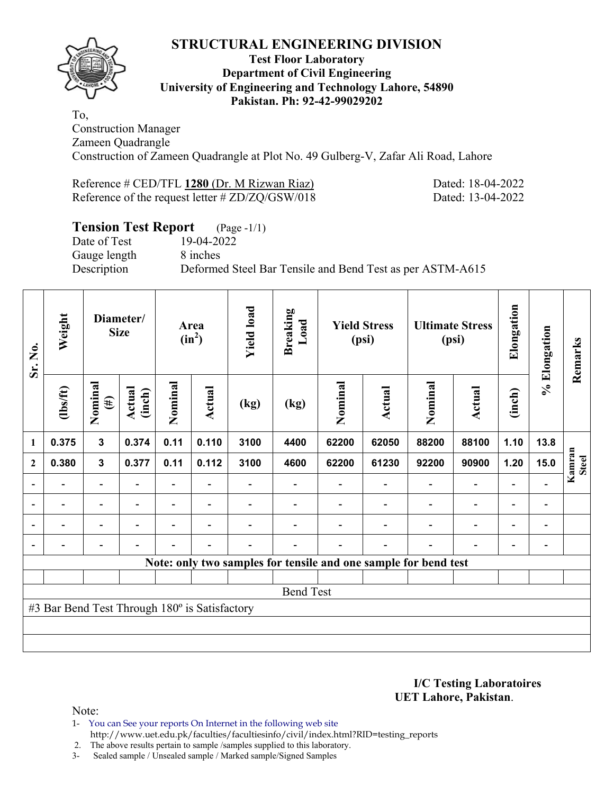

#### **Test Floor Laboratory Department of Civil Engineering University of Engineering and Technology Lahore, 54890 Pakistan. Ph: 92-42-99029202**

To, Construction Manager Zameen Quadrangle Construction of Zameen Quadrangle at Plot No. 49 Gulberg-V, Zafar Ali Road, Lahore

Reference # CED/TFL 1280 (Dr. M Rizwan Riaz) Dated: 18-04-2022 Reference of the request letter # ZD/ZQ/GSW/018 Dated: 13-04-2022

# **Tension Test Report** (Page -1/1)

Date of Test 19-04-2022 Gauge length 8 inches

Description Deformed Steel Bar Tensile and Bend Test as per ASTM-A615

| Sr. No.                  | Weight                                        |                          | Diameter/<br><b>Size</b> |                          | Area<br>$(in^2)$         | <b>Yield load</b> | <b>Breaking</b><br>Load |         | <b>Yield Stress</b><br>(psi)                                    |                          | <b>Ultimate Stress</b><br>(psi) | Elongation               | % Elongation             | Remarks                |
|--------------------------|-----------------------------------------------|--------------------------|--------------------------|--------------------------|--------------------------|-------------------|-------------------------|---------|-----------------------------------------------------------------|--------------------------|---------------------------------|--------------------------|--------------------------|------------------------|
|                          | (1bs/ft)                                      | Nominal<br>$(\#)$        | Actual<br>(inch)         | Nominal                  | Actual                   | (kg)              | (kg)                    | Nominal | Actual                                                          | Nominal                  | <b>Actual</b>                   | (inch)                   |                          |                        |
| 1                        | 0.375                                         | 3                        | 0.374                    | 0.11                     | 0.110                    | 3100              | 4400                    | 62200   | 62050                                                           | 88200                    | 88100                           | 1.10                     | 13.8                     |                        |
| $\mathbf{2}$             | 0.380                                         | $\mathbf{3}$             | 0.377                    | 0.11                     | 0.112                    | 3100              | 4600                    | 62200   | 61230                                                           | 92200                    | 90900                           | 1.20                     | 15.0                     | Kamran<br><b>Steel</b> |
|                          |                                               |                          |                          |                          |                          |                   |                         |         |                                                                 |                          | $\qquad \qquad \blacksquare$    | $\overline{\phantom{0}}$ |                          |                        |
| $\overline{\phantom{a}}$ |                                               | $\overline{a}$           | $\overline{\phantom{0}}$ | $\overline{\phantom{0}}$ | $\overline{\phantom{a}}$ |                   |                         |         |                                                                 | $\overline{\phantom{0}}$ | $\overline{a}$                  | $\overline{\phantom{a}}$ | $\blacksquare$           |                        |
| $\overline{\phantom{a}}$ |                                               | $\overline{\phantom{0}}$ | $\overline{\phantom{0}}$ | $\overline{\phantom{0}}$ | $\overline{\phantom{a}}$ |                   |                         |         | $\overline{\phantom{0}}$                                        | $\overline{\phantom{0}}$ | $\overline{a}$                  | $\overline{\phantom{0}}$ | $\overline{\phantom{0}}$ |                        |
|                          |                                               | $\overline{\phantom{0}}$ |                          |                          | $\overline{\phantom{a}}$ |                   |                         |         | $\overline{\phantom{0}}$                                        | $\blacksquare$           | $\overline{\phantom{0}}$        | $\overline{\phantom{0}}$ | $\overline{\phantom{0}}$ |                        |
|                          |                                               |                          |                          |                          |                          |                   |                         |         | Note: only two samples for tensile and one sample for bend test |                          |                                 |                          |                          |                        |
|                          |                                               |                          |                          |                          |                          |                   |                         |         |                                                                 |                          |                                 |                          |                          |                        |
|                          |                                               |                          |                          |                          |                          |                   | <b>Bend Test</b>        |         |                                                                 |                          |                                 |                          |                          |                        |
|                          | #3 Bar Bend Test Through 180° is Satisfactory |                          |                          |                          |                          |                   |                         |         |                                                                 |                          |                                 |                          |                          |                        |
|                          |                                               |                          |                          |                          |                          |                   |                         |         |                                                                 |                          |                                 |                          |                          |                        |
|                          |                                               |                          |                          |                          |                          |                   |                         |         |                                                                 |                          |                                 |                          |                          |                        |

**I/C Testing Laboratoires UET Lahore, Pakistan**.

Note:

1- You can See your reports On Internet in the following web site http://www.uet.edu.pk/faculties/facultiesinfo/civil/index.html?RID=testing\_reports

2. The above results pertain to sample /samples supplied to this laboratory.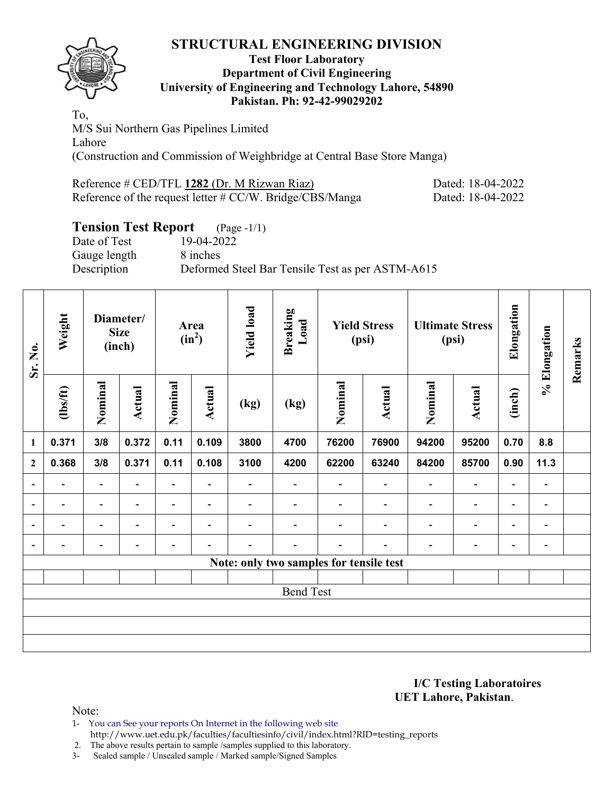

#### **Test Floor Laboratory Department of Civil Engineering University of Engineering and Technology Lahore, 54890 Pakistan. Ph: 92-42-99029202**

To, M/S Sui Northern Gas Pipelines Limited Lahore (Construction and Commission of Weighbridge at Central Base Store Manga)

| Reference # CED/TFL 1282 (Dr. M Rizwan Riaz)                 | Dated: 18-04-2022 |
|--------------------------------------------------------------|-------------------|
| Reference of the request letter $\# CC/W$ . Bridge/CBS/Manga | Dated: 18-04-2022 |

# **Tension Test Report** (Page -1/1)

Date of Test 19-04-2022 Gauge length 8 inches Description Deformed Steel Bar Tensile Test as per ASTM-A615

| Sr. No.                  | Weight         |                          | Diameter/<br><b>Size</b><br>(inch) |                          | Area<br>$(in^2)$         | <b>Yield load</b> | <b>Breaking</b><br>Load                 |         | <b>Yield Stress</b><br>(psi) |                          | <b>Ultimate Stress</b><br>(psi) | Elongation               | % Elongation                 | Remarks |
|--------------------------|----------------|--------------------------|------------------------------------|--------------------------|--------------------------|-------------------|-----------------------------------------|---------|------------------------------|--------------------------|---------------------------------|--------------------------|------------------------------|---------|
|                          | $\frac{2}{10}$ | Nominal                  | <b>Actual</b>                      | Nominal                  | Actual<br>0.11<br>0.109  |                   | (kg)                                    | Nominal | Actual                       | Nominal                  | Actual                          | (inch)                   |                              |         |
| 1                        | 0.371          | 3/8                      | 0.372                              |                          |                          | 3800              | 4700                                    | 76200   | 76900                        | 94200                    | 95200                           | 0.70                     | 8.8                          |         |
| $\boldsymbol{2}$         | 0.368          | 3/8                      | 0.371                              | 0.11                     | 0.108                    | 3100              | 4200                                    | 62200   | 63240                        | 84200                    | 85700                           | 0.90                     | 11.3                         |         |
| $\overline{\phantom{a}}$ |                | $\overline{\phantom{0}}$ | $\overline{\phantom{0}}$           | Ξ.                       |                          |                   | $\overline{\phantom{0}}$                |         |                              | $\overline{\phantom{0}}$ | $\overline{a}$                  | $\overline{\phantom{0}}$ |                              |         |
| $\overline{\phantom{a}}$ | $\blacksquare$ | $\overline{\phantom{a}}$ | ۰                                  | $\overline{\phantom{0}}$ | $\overline{\phantom{0}}$ |                   |                                         |         |                              | $\overline{\phantom{0}}$ | $\overline{\phantom{a}}$        | $\overline{\phantom{a}}$ | $\qquad \qquad \blacksquare$ |         |
| $\overline{\phantom{a}}$ |                | $\blacksquare$           | $\overline{\phantom{0}}$           | $\overline{\phantom{0}}$ | $\overline{\phantom{a}}$ |                   |                                         |         |                              | $\overline{\phantom{0}}$ | $\overline{\phantom{0}}$        | $\overline{\phantom{0}}$ | -                            |         |
| $\blacksquare$           |                |                          |                                    |                          |                          |                   |                                         |         |                              |                          | -                               | $\overline{\phantom{0}}$ | $\overline{\phantom{0}}$     |         |
|                          |                |                          |                                    |                          |                          |                   | Note: only two samples for tensile test |         |                              |                          |                                 |                          |                              |         |
|                          |                |                          |                                    |                          |                          |                   |                                         |         |                              |                          |                                 |                          |                              |         |
|                          |                |                          |                                    |                          |                          |                   | <b>Bend Test</b>                        |         |                              |                          |                                 |                          |                              |         |
|                          |                |                          |                                    |                          |                          |                   |                                         |         |                              |                          |                                 |                          |                              |         |
|                          |                |                          |                                    |                          |                          |                   |                                         |         |                              |                          |                                 |                          |                              |         |
|                          |                |                          |                                    |                          |                          |                   |                                         |         |                              |                          |                                 |                          |                              |         |

#### **I/C Testing Laboratoires UET Lahore, Pakistan**.

Note:

1- You can See your reports On Internet in the following web site http://www.uet.edu.pk/faculties/facultiesinfo/civil/index.html?RID=testing\_reports

2. The above results pertain to sample /samples supplied to this laboratory.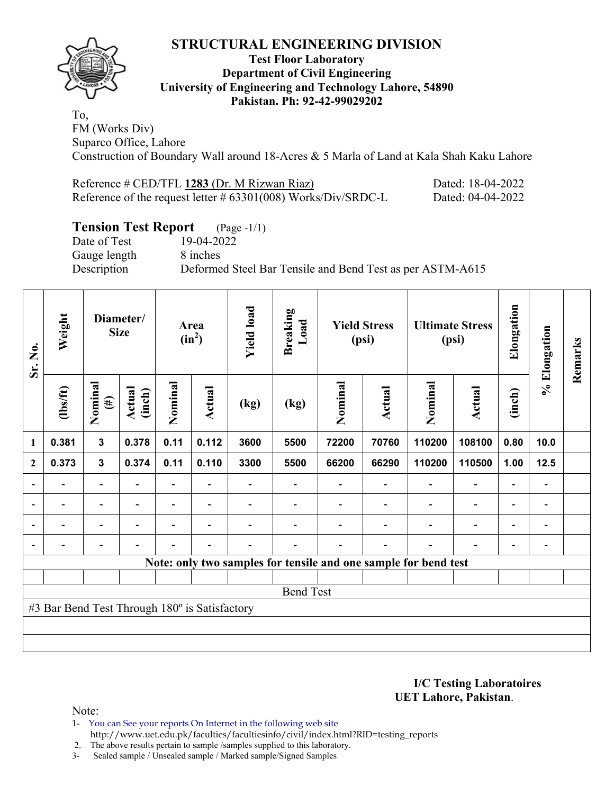

#### **Test Floor Laboratory Department of Civil Engineering University of Engineering and Technology Lahore, 54890 Pakistan. Ph: 92-42-99029202**

To, FM (Works Div) Suparco Office, Lahore Construction of Boundary Wall around 18-Acres & 5 Marla of Land at Kala Shah Kaku Lahore

| Reference # CED/TFL 1283 (Dr. M Rizwan Riaz)                     | Dated: 18-04-2022 |
|------------------------------------------------------------------|-------------------|
| Reference of the request letter $\#$ 63301(008) Works/Div/SRDC-L | Dated: 04-04-2022 |

## **Tension Test Report** (Page -1/1)

Date of Test 19-04-2022 Gauge length 8 inches

Description Deformed Steel Bar Tensile and Bend Test as per ASTM-A615

| Sr. No.          | Weight                                        |                          | Diameter/<br><b>Size</b> |                          | Area<br>$(in^2)$         | <b>Yield load</b> | <b>Breaking</b><br>Load |         | <b>Yield Stress</b><br>(psi) |                                                                 | <b>Ultimate Stress</b><br>(psi) | Elongation                   | % Elongation             | Remarks |
|------------------|-----------------------------------------------|--------------------------|--------------------------|--------------------------|--------------------------|-------------------|-------------------------|---------|------------------------------|-----------------------------------------------------------------|---------------------------------|------------------------------|--------------------------|---------|
|                  | $\frac{2}{10}$                                | Nominal<br>$(\#)$        | Actual<br>(inch)         | Nominal                  | Actual                   | (kg)              | (kg)                    | Nominal | Actual                       | Nominal                                                         | Actual                          | (inch)                       |                          |         |
| 1                | 0.381                                         | $\mathbf{3}$             | 0.378                    | 0.11                     | 0.112                    | 3600              | 5500                    | 72200   | 70760                        | 110200                                                          | 108100                          | 0.80                         | 10.0                     |         |
| $\boldsymbol{2}$ | 0.373                                         | $\mathbf{3}$             | 0.374                    | 0.11                     | 0.110                    | 3300              | 5500                    | 66200   | 66290                        | 110200                                                          | 110500                          | 1.00                         | 12.5                     |         |
| $\overline{a}$   |                                               | Ξ.                       |                          |                          |                          |                   |                         |         |                              |                                                                 | $\overline{a}$                  | $\qquad \qquad \blacksquare$ |                          |         |
| $\overline{a}$   | -                                             | $\overline{\phantom{a}}$ | $\overline{\phantom{a}}$ | $\overline{\phantom{0}}$ | $\overline{\phantom{a}}$ |                   |                         |         |                              | $\blacksquare$                                                  | $\overline{\phantom{a}}$        | $\overline{\phantom{a}}$     | $\overline{\phantom{a}}$ |         |
|                  | $\overline{\phantom{0}}$                      | Ξ.                       | ۰                        | $\overline{a}$           | $\blacksquare$           |                   |                         |         |                              | ÷                                                               | $\overline{\phantom{a}}$        | $\overline{\phantom{a}}$     | $\blacksquare$           |         |
|                  |                                               | -                        | $\overline{\phantom{0}}$ | $\overline{\phantom{0}}$ | $\blacksquare$           |                   |                         |         | $\overline{\phantom{a}}$     | $\overline{\phantom{a}}$                                        | $\overline{a}$                  | $\overline{\phantom{a}}$     |                          |         |
|                  |                                               |                          |                          |                          |                          |                   |                         |         |                              | Note: only two samples for tensile and one sample for bend test |                                 |                              |                          |         |
|                  |                                               |                          |                          |                          |                          |                   |                         |         |                              |                                                                 |                                 |                              |                          |         |
|                  |                                               |                          |                          |                          |                          |                   | <b>Bend Test</b>        |         |                              |                                                                 |                                 |                              |                          |         |
|                  | #3 Bar Bend Test Through 180° is Satisfactory |                          |                          |                          |                          |                   |                         |         |                              |                                                                 |                                 |                              |                          |         |
|                  |                                               |                          |                          |                          |                          |                   |                         |         |                              |                                                                 |                                 |                              |                          |         |
|                  |                                               |                          |                          |                          |                          |                   |                         |         |                              |                                                                 |                                 |                              |                          |         |

**I/C Testing Laboratoires UET Lahore, Pakistan**.

Note:

- 1- You can See your reports On Internet in the following web site http://www.uet.edu.pk/faculties/facultiesinfo/civil/index.html?RID=testing\_reports
- 2. The above results pertain to sample /samples supplied to this laboratory.
- 3- Sealed sample / Unsealed sample / Marked sample/Signed Samples